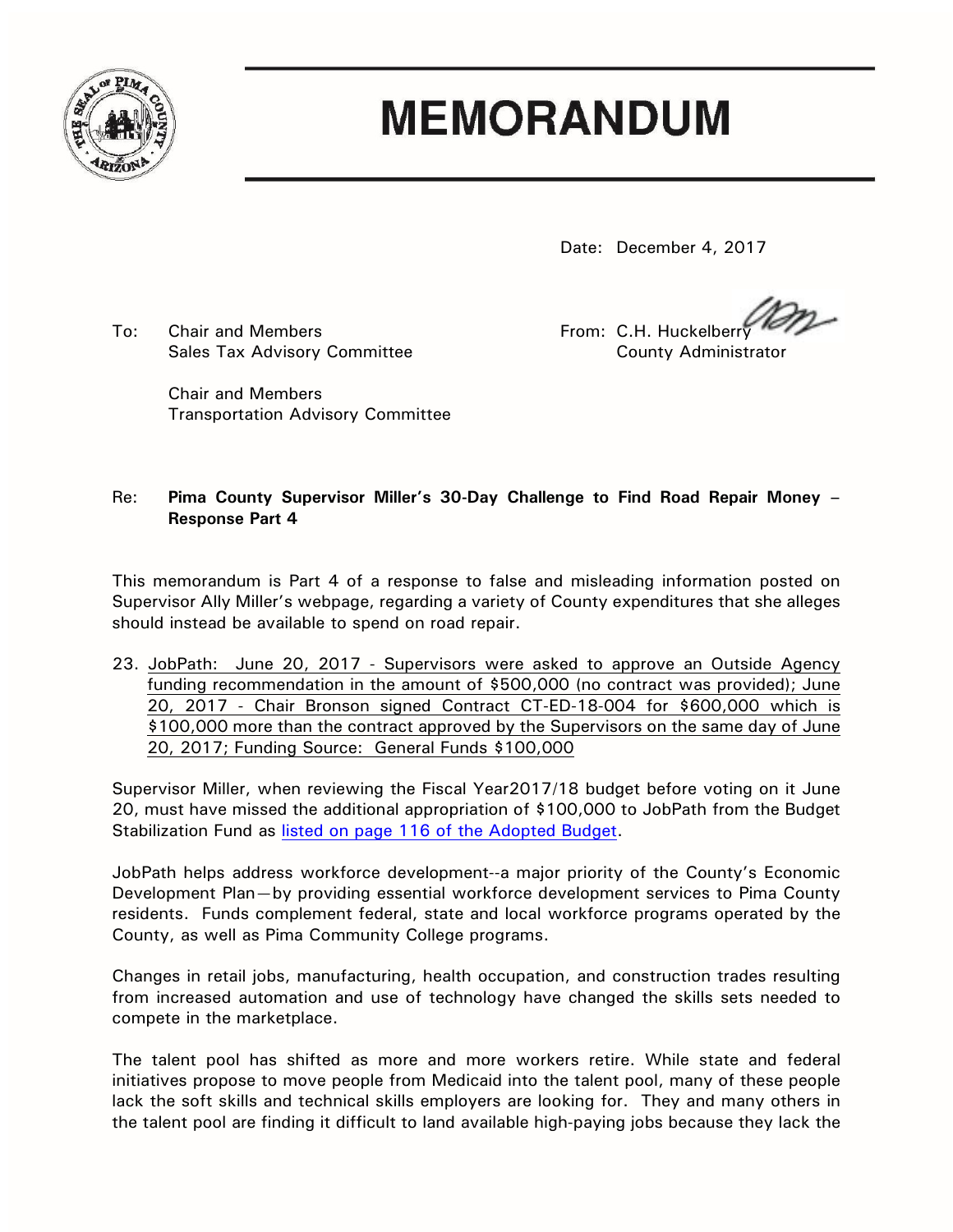

## **MEMORANDUM**

Date: December 4, 2017

To: Chair and Members **From: C.H. Huckelberry From: C.H. Huckelberry** Sales Tax Advisory Committee **County Administrator** County Administrator

Chair and Members Transportation Advisory Committee

## Re: **Pima County Supervisor Miller's 30-Day Challenge to Find Road Repair Money – Response Part 4**

This memorandum is Part 4 of a response to false and misleading information posted on Supervisor Ally Miller's webpage, regarding a variety of County expenditures that she alleges should instead be available to spend on road repair.

23. JobPath: June 20, 2017 - Supervisors were asked to approve an Outside Agency funding recommendation in the amount of \$500,000 (no contract was provided); June 20, 2017 - Chair Bronson signed Contract CT-ED-18-004 for \$600,000 which is \$100,000 more than the contract approved by the Supervisors on the same day of June 20, 2017; Funding Source: General Funds \$100,000

Supervisor Miller, when reviewing the Fiscal Year2017/18 budget before voting on it June 20, must have missed the additional appropriation of \$100,000 to JobPath from the Budget Stabilization Fund as [listed on page 116 of the Adopted Budget.](http://webcms.pima.gov/UserFiles/Servers/Server_6/File/Government/Finance%20and%20Risk%20Management/Adopted%20Budget/2017-2018%20Adopted%20Budget.pdf)

JobPath helps address workforce development--a major priority of the County's Economic Development Plan—by providing essential workforce development services to Pima County residents. Funds complement federal, state and local workforce programs operated by the County, as well as Pima Community College programs.

Changes in retail jobs, manufacturing, health occupation, and construction trades resulting from increased automation and use of technology have changed the skills sets needed to compete in the marketplace.

The talent pool has shifted as more and more workers retire. While state and federal initiatives propose to move people from Medicaid into the talent pool, many of these people lack the soft skills and technical skills employers are looking for. They and many others in the talent pool are finding it difficult to land available high-paying jobs because they lack the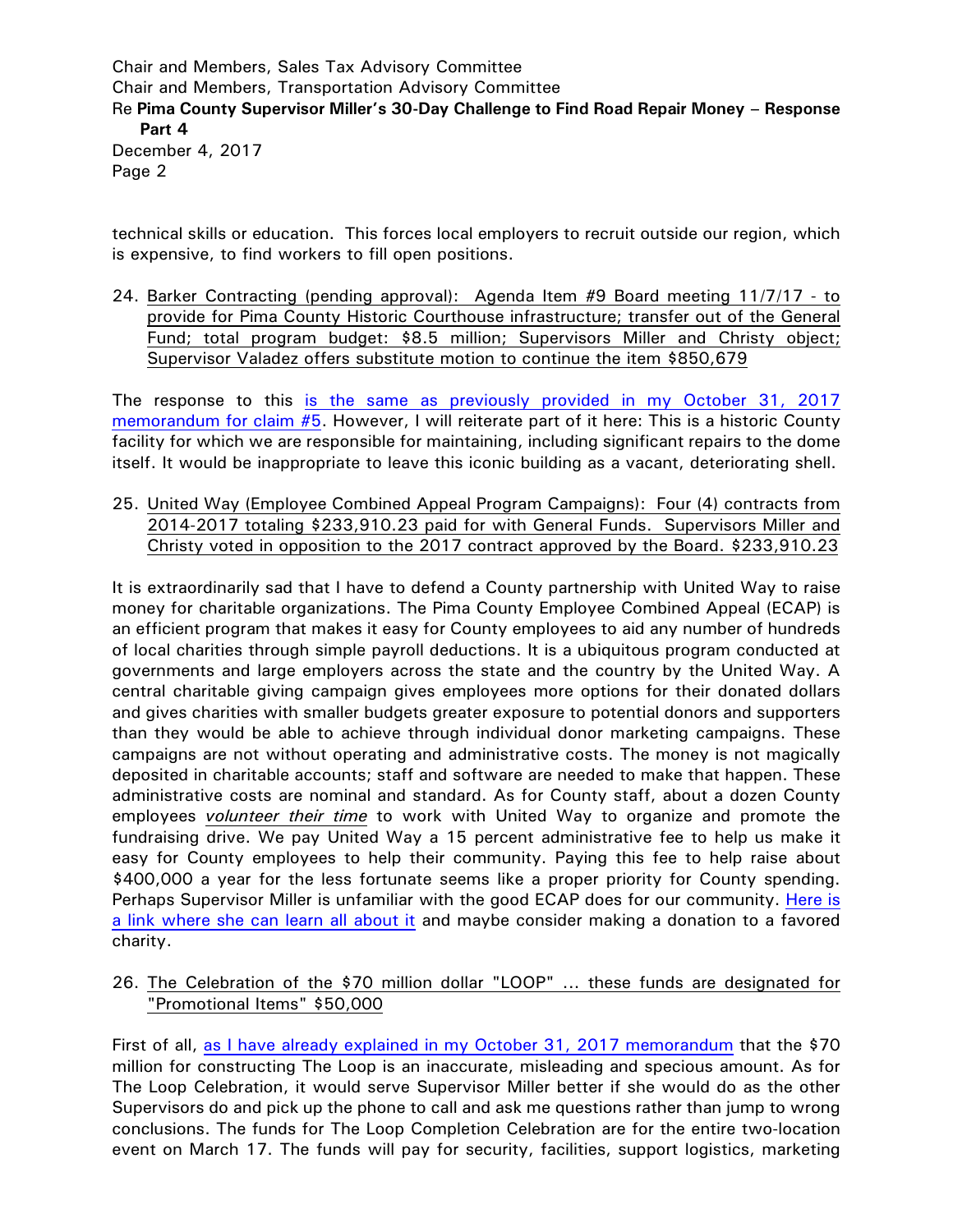Chair and Members, Sales Tax Advisory Committee Chair and Members, Transportation Advisory Committee Re **Pima County Supervisor Miller's 30-Day Challenge to Find Road Repair Money – Response Part 4** December 4, 2017 Page 2

technical skills or education. This forces local employers to recruit outside our region, which is expensive, to find workers to fill open positions.

24. Barker Contracting (pending approval): Agenda Item #9 Board meeting 11/7/17 - to provide for Pima County Historic Courthouse infrastructure; transfer out of the General Fund; total program budget: \$8.5 million; Supervisors Miller and Christy object; Supervisor Valadez offers substitute motion to continue the item \$850,679

The response to this [is the same as previously provided in my October 31, 2017](http://webcms.pima.gov/UserFiles/Servers/Server_6/File/Government/Administration/CHHmemosFor%20Web/2017/October/Pima%20County%20Supervisor%20Miller)  [memorandum for claim #5.](http://webcms.pima.gov/UserFiles/Servers/Server_6/File/Government/Administration/CHHmemosFor%20Web/2017/October/Pima%20County%20Supervisor%20Miller) However, I will reiterate part of it here: This is a historic County facility for which we are responsible for maintaining, including significant repairs to the dome itself. It would be inappropriate to leave this iconic building as a vacant, deteriorating shell.

25. United Way (Employee Combined Appeal Program Campaigns): Four (4) contracts from 2014-2017 totaling \$233,910.23 paid for with General Funds. Supervisors Miller and Christy voted in opposition to the 2017 contract approved by the Board. \$233,910.23

It is extraordinarily sad that I have to defend a County partnership with United Way to raise money for charitable organizations. The Pima County Employee Combined Appeal (ECAP) is an efficient program that makes it easy for County employees to aid any number of hundreds of local charities through simple payroll deductions. It is a ubiquitous program conducted at governments and large employers across the state and the country by the United Way. A central charitable giving campaign gives employees more options for their donated dollars and gives charities with smaller budgets greater exposure to potential donors and supporters than they would be able to achieve through individual donor marketing campaigns. These campaigns are not without operating and administrative costs. The money is not magically deposited in charitable accounts; staff and software are needed to make that happen. These administrative costs are nominal and standard. As for County staff, about a dozen County employees *volunteer their time* to work with United Way to organize and promote the fundraising drive. We pay United Way a 15 percent administrative fee to help us make it easy for County employees to help their community. Paying this fee to help raise about \$400,000 a year for the less fortunate seems like a proper priority for County spending. Perhaps Supervisor Miller is unfamiliar with the good ECAP does for our community. [Here is](http://webcms.pima.gov/government/employees_combined_appeal_program_ecap/)  [a link where she can learn all about it](http://webcms.pima.gov/government/employees_combined_appeal_program_ecap/) and maybe consider making a donation to a favored charity.

26. The Celebration of the \$70 million dollar "LOOP" ... these funds are designated for "Promotional Items" \$50,000

First of all, [as I have already explained in my October](http://webcms.pima.gov/UserFiles/Servers/Server_6/File/Government/Administration/CHHmemosFor%20Web/2017/October/Pima%20County%20Supervisor%20Miller) 31, 2017 memorandum that the \$70 million for constructing The Loop is an inaccurate, misleading and specious amount. As for The Loop Celebration, it would serve Supervisor Miller better if she would do as the other Supervisors do and pick up the phone to call and ask me questions rather than jump to wrong conclusions. The funds for The Loop Completion Celebration are for the entire two-location event on March 17. The funds will pay for security, facilities, support logistics, marketing